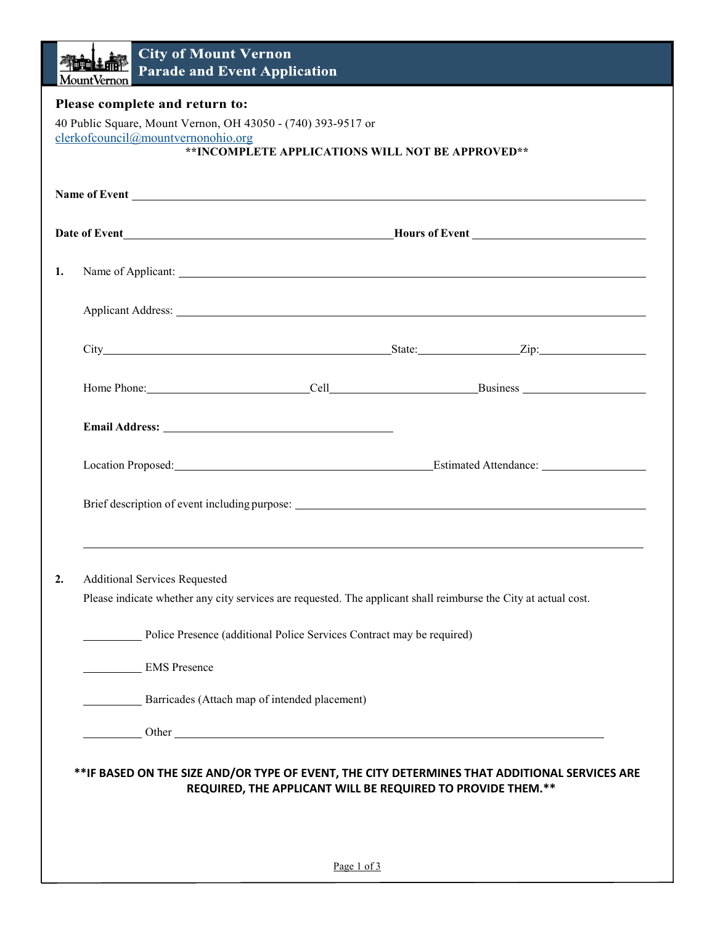|                                                                                                                                                                                          | <b>City of Mount Vernon</b><br>माना ∓ तात<br><b>Parade and Event Application</b><br><b>MountVernon</b>                                                                                                                         |  |
|------------------------------------------------------------------------------------------------------------------------------------------------------------------------------------------|--------------------------------------------------------------------------------------------------------------------------------------------------------------------------------------------------------------------------------|--|
| Please complete and return to:<br>40 Public Square, Mount Vernon, OH 43050 - (740) 393-9517 or<br>clerkofcouncil@mountvernonohio.org<br>**INCOMPLETE APPLICATIONS WILL NOT BE APPROVED** |                                                                                                                                                                                                                                |  |
|                                                                                                                                                                                          |                                                                                                                                                                                                                                |  |
|                                                                                                                                                                                          |                                                                                                                                                                                                                                |  |
| 1.                                                                                                                                                                                       | Name of Applicant:                                                                                                                                                                                                             |  |
|                                                                                                                                                                                          | Applicant Address: No. 2014 19:30 Applicant Address:                                                                                                                                                                           |  |
|                                                                                                                                                                                          |                                                                                                                                                                                                                                |  |
|                                                                                                                                                                                          |                                                                                                                                                                                                                                |  |
|                                                                                                                                                                                          |                                                                                                                                                                                                                                |  |
|                                                                                                                                                                                          | Location Proposed: Estimated Attendance: Contact Attendance: Contact Attendance: Contact Attendance: Contact Attendance: Contact Attendance: Contact Attendance: Contact Attendance: Contact Attendance: Contact Attendance: C |  |
|                                                                                                                                                                                          |                                                                                                                                                                                                                                |  |
|                                                                                                                                                                                          |                                                                                                                                                                                                                                |  |
| 2.                                                                                                                                                                                       | <b>Additional Services Requested</b>                                                                                                                                                                                           |  |
|                                                                                                                                                                                          | Please indicate whether any city services are requested. The applicant shall reimburse the City at actual cost.                                                                                                                |  |
|                                                                                                                                                                                          | Police Presence (additional Police Services Contract may be required)<br><b>EMS</b> Presence                                                                                                                                   |  |
|                                                                                                                                                                                          | Barricades (Attach map of intended placement)                                                                                                                                                                                  |  |
|                                                                                                                                                                                          |                                                                                                                                                                                                                                |  |
|                                                                                                                                                                                          | **IF BASED ON THE SIZE AND/OR TYPE OF EVENT, THE CITY DETERMINES THAT ADDITIONAL SERVICES ARE<br>REQUIRED, THE APPLICANT WILL BE REQUIRED TO PROVIDE THEM.**                                                                   |  |
|                                                                                                                                                                                          |                                                                                                                                                                                                                                |  |
|                                                                                                                                                                                          | Page 1 of 3                                                                                                                                                                                                                    |  |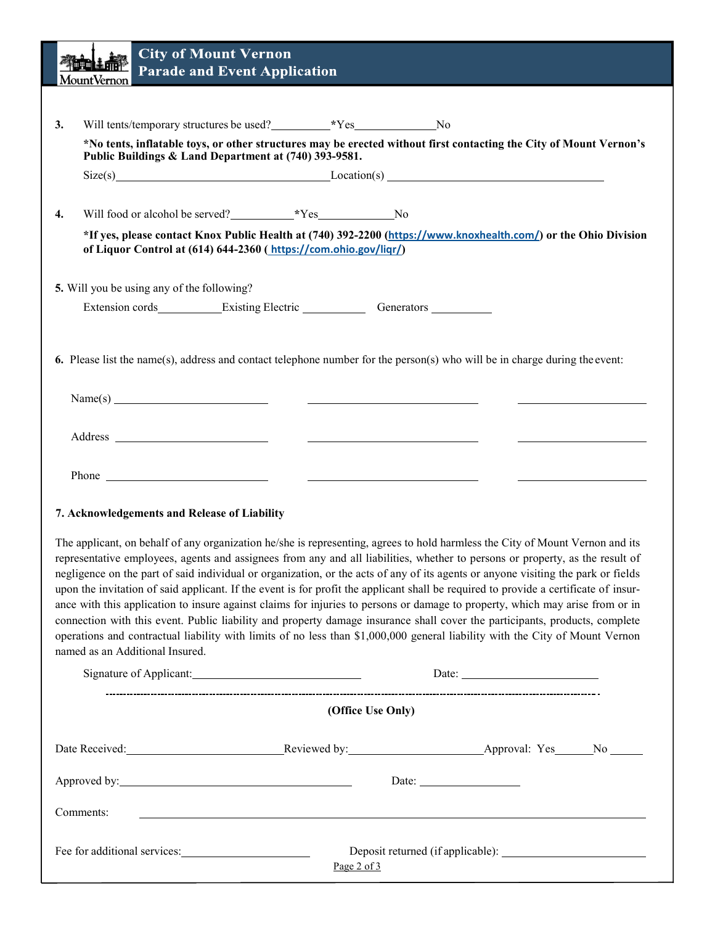|                                                                                                                                                                                                                                                                                                                                                                                                                                                                                                                                                                                                                                                                                                                                                                                                                                                                                                                                                                                | <b>City of Mount Vernon</b><br>学生的生命<br><b>Parade and Event Application</b><br><b>MountVernon</b>                                                                                   |  |  |
|--------------------------------------------------------------------------------------------------------------------------------------------------------------------------------------------------------------------------------------------------------------------------------------------------------------------------------------------------------------------------------------------------------------------------------------------------------------------------------------------------------------------------------------------------------------------------------------------------------------------------------------------------------------------------------------------------------------------------------------------------------------------------------------------------------------------------------------------------------------------------------------------------------------------------------------------------------------------------------|-------------------------------------------------------------------------------------------------------------------------------------------------------------------------------------|--|--|
|                                                                                                                                                                                                                                                                                                                                                                                                                                                                                                                                                                                                                                                                                                                                                                                                                                                                                                                                                                                |                                                                                                                                                                                     |  |  |
| 3.                                                                                                                                                                                                                                                                                                                                                                                                                                                                                                                                                                                                                                                                                                                                                                                                                                                                                                                                                                             |                                                                                                                                                                                     |  |  |
|                                                                                                                                                                                                                                                                                                                                                                                                                                                                                                                                                                                                                                                                                                                                                                                                                                                                                                                                                                                | *No tents, inflatable toys, or other structures may be erected without first contacting the City of Mount Vernon's<br>Public Buildings & Land Department at (740) 393-9581.         |  |  |
|                                                                                                                                                                                                                                                                                                                                                                                                                                                                                                                                                                                                                                                                                                                                                                                                                                                                                                                                                                                | $Size(s)$ $Location(s)$                                                                                                                                                             |  |  |
|                                                                                                                                                                                                                                                                                                                                                                                                                                                                                                                                                                                                                                                                                                                                                                                                                                                                                                                                                                                |                                                                                                                                                                                     |  |  |
| 4.                                                                                                                                                                                                                                                                                                                                                                                                                                                                                                                                                                                                                                                                                                                                                                                                                                                                                                                                                                             | Will food or alcohol be served?<br><u>Example 8.1</u> No                                                                                                                            |  |  |
|                                                                                                                                                                                                                                                                                                                                                                                                                                                                                                                                                                                                                                                                                                                                                                                                                                                                                                                                                                                | *If yes, please contact Knox Public Health at (740) 392-2200 (https://www.knoxhealth.com/) or the Ohio Division<br>of Liquor Control at (614) 644-2360 (https://com.ohio.gov/liqr/) |  |  |
|                                                                                                                                                                                                                                                                                                                                                                                                                                                                                                                                                                                                                                                                                                                                                                                                                                                                                                                                                                                |                                                                                                                                                                                     |  |  |
|                                                                                                                                                                                                                                                                                                                                                                                                                                                                                                                                                                                                                                                                                                                                                                                                                                                                                                                                                                                | 5. Will you be using any of the following?                                                                                                                                          |  |  |
|                                                                                                                                                                                                                                                                                                                                                                                                                                                                                                                                                                                                                                                                                                                                                                                                                                                                                                                                                                                | Extension cords_____________Existing Electric _______________Generators _________                                                                                                   |  |  |
|                                                                                                                                                                                                                                                                                                                                                                                                                                                                                                                                                                                                                                                                                                                                                                                                                                                                                                                                                                                |                                                                                                                                                                                     |  |  |
|                                                                                                                                                                                                                                                                                                                                                                                                                                                                                                                                                                                                                                                                                                                                                                                                                                                                                                                                                                                | 6. Please list the name(s), address and contact telephone number for the person(s) who will be in charge during the event:                                                          |  |  |
|                                                                                                                                                                                                                                                                                                                                                                                                                                                                                                                                                                                                                                                                                                                                                                                                                                                                                                                                                                                |                                                                                                                                                                                     |  |  |
|                                                                                                                                                                                                                                                                                                                                                                                                                                                                                                                                                                                                                                                                                                                                                                                                                                                                                                                                                                                |                                                                                                                                                                                     |  |  |
|                                                                                                                                                                                                                                                                                                                                                                                                                                                                                                                                                                                                                                                                                                                                                                                                                                                                                                                                                                                |                                                                                                                                                                                     |  |  |
|                                                                                                                                                                                                                                                                                                                                                                                                                                                                                                                                                                                                                                                                                                                                                                                                                                                                                                                                                                                | <u> 1980 - Johann Barnett, fransk politik (d. 1980)</u><br><u> 1980 - Andrea Andrew Maria (h. 1974).</u>                                                                            |  |  |
|                                                                                                                                                                                                                                                                                                                                                                                                                                                                                                                                                                                                                                                                                                                                                                                                                                                                                                                                                                                | <u> 1989 - Andrea Station Books, amerikansk politiker (</u>                                                                                                                         |  |  |
|                                                                                                                                                                                                                                                                                                                                                                                                                                                                                                                                                                                                                                                                                                                                                                                                                                                                                                                                                                                |                                                                                                                                                                                     |  |  |
| 7. Acknowledgements and Release of Liability                                                                                                                                                                                                                                                                                                                                                                                                                                                                                                                                                                                                                                                                                                                                                                                                                                                                                                                                   |                                                                                                                                                                                     |  |  |
| The applicant, on behalf of any organization he/she is representing, agrees to hold harmless the City of Mount Vernon and its<br>representative employees, agents and assignees from any and all liabilities, whether to persons or property, as the result of<br>negligence on the part of said individual or organization, or the acts of any of its agents or anyone visiting the park or fields<br>upon the invitation of said applicant. If the event is for profit the applicant shall be required to provide a certificate of insur-<br>ance with this application to insure against claims for injuries to persons or damage to property, which may arise from or in<br>connection with this event. Public liability and property damage insurance shall cover the participants, products, complete<br>operations and contractual liability with limits of no less than \$1,000,000 general liability with the City of Mount Vernon<br>named as an Additional Insured. |                                                                                                                                                                                     |  |  |
|                                                                                                                                                                                                                                                                                                                                                                                                                                                                                                                                                                                                                                                                                                                                                                                                                                                                                                                                                                                | Date: $\qquad \qquad$                                                                                                                                                               |  |  |
|                                                                                                                                                                                                                                                                                                                                                                                                                                                                                                                                                                                                                                                                                                                                                                                                                                                                                                                                                                                | (Office Use Only)                                                                                                                                                                   |  |  |
|                                                                                                                                                                                                                                                                                                                                                                                                                                                                                                                                                                                                                                                                                                                                                                                                                                                                                                                                                                                |                                                                                                                                                                                     |  |  |
|                                                                                                                                                                                                                                                                                                                                                                                                                                                                                                                                                                                                                                                                                                                                                                                                                                                                                                                                                                                |                                                                                                                                                                                     |  |  |
|                                                                                                                                                                                                                                                                                                                                                                                                                                                                                                                                                                                                                                                                                                                                                                                                                                                                                                                                                                                | Date: $\frac{1}{\sqrt{1-\frac{1}{2}}\sqrt{1-\frac{1}{2}}\sqrt{1-\frac{1}{2}}\sqrt{1-\frac{1}{2}}\sqrt{1-\frac{1}{2}}}}$                                                             |  |  |
|                                                                                                                                                                                                                                                                                                                                                                                                                                                                                                                                                                                                                                                                                                                                                                                                                                                                                                                                                                                | Comments:<br>,我们也不会有一个人的人,我们也不会有一个人的人,我们也不会有一个人的人。""我们,我们也不会有一个人的人,我们也不会有一个人的人,我们也不会有一个人的人,我们                                                                                       |  |  |
|                                                                                                                                                                                                                                                                                                                                                                                                                                                                                                                                                                                                                                                                                                                                                                                                                                                                                                                                                                                | Fee for additional services:<br>Deposit returned (if applicable):<br>Page $2$ of $3$                                                                                                |  |  |